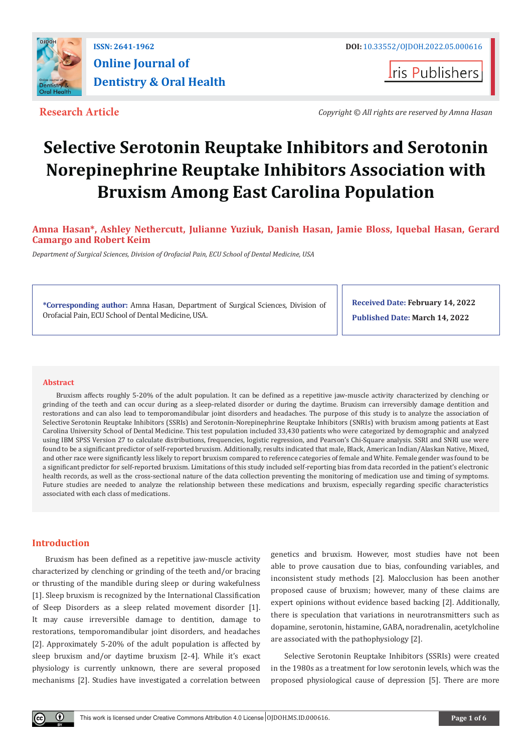

## **ISSN: 2641-1962 DOI:** [10.33552/OJDOH.2022.05.000616](http://dx.doi.org/10.33552/OJDOH.2022.05.000616) **Online Journal of Dentistry & Oral Health**

**Iris Publishers** 

**Research Article** *Copyright © All rights are reserved by Amna Hasan*

# **Selective Serotonin Reuptake Inhibitors and Serotonin Norepinephrine Reuptake Inhibitors Association with Bruxism Among East Carolina Population**

**Amna Hasan\*, Ashley Nethercutt, Julianne Yuziuk, Danish Hasan, Jamie Bloss, Iquebal Hasan, Gerard Camargo and Robert Keim**

*Department of Surgical Sciences, Division of Orofacial Pain, ECU School of Dental Medicine, USA*

**\*Corresponding author:** Amna Hasan, Department of Surgical Sciences, Division of Orofacial Pain, ECU School of Dental Medicine, USA.

**Received Date: February 14, 2022 Published Date: March 14, 2022**

#### **Abstract**

Bruxism affects roughly 5-20% of the adult population. It can be defined as a repetitive jaw-muscle activity characterized by clenching or grinding of the teeth and can occur during as a sleep-related disorder or during the daytime. Bruxism can irreversibly damage dentition and restorations and can also lead to temporomandibular joint disorders and headaches. The purpose of this study is to analyze the association of Selective Serotonin Reuptake Inhibitors (SSRIs) and Serotonin-Norepinephrine Reuptake Inhibitors (SNRIs) with bruxism among patients at East Carolina University School of Dental Medicine. This test population included 33,430 patients who were categorized by demographic and analyzed using IBM SPSS Version 27 to calculate distributions, frequencies, logistic regression, and Pearson's Chi-Square analysis. SSRI and SNRI use were found to be a significant predictor of self-reported bruxism. Additionally, results indicated that male, Black, American Indian/Alaskan Native, Mixed, and other race were significantly less likely to report bruxism compared to reference categories of female and White. Female gender was found to be a significant predictor for self-reported bruxism. Limitations of this study included self-reporting bias from data recorded in the patient's electronic health records, as well as the cross-sectional nature of the data collection preventing the monitoring of medication use and timing of symptoms. Future studies are needed to analyze the relationship between these medications and bruxism, especially regarding specific characteristics associated with each class of medications.

### **Introduction**

 $^\circledR$ 

Bruxism has been defined as a repetitive jaw-muscle activity characterized by clenching or grinding of the teeth and/or bracing or thrusting of the mandible during sleep or during wakefulness [1]. Sleep bruxism is recognized by the International Classification of Sleep Disorders as a sleep related movement disorder [1]. It may cause irreversible damage to dentition, damage to restorations, temporomandibular joint disorders, and headaches [2]. Approximately 5-20% of the adult population is affected by sleep bruxism and/or daytime bruxism [2-4]. While it's exact physiology is currently unknown, there are several proposed mechanisms [2]. Studies have investigated a correlation between

genetics and bruxism. However, most studies have not been able to prove causation due to bias, confounding variables, and inconsistent study methods [2]. Malocclusion has been another proposed cause of bruxism; however, many of these claims are expert opinions without evidence based backing [2]. Additionally, there is speculation that variations in neurotransmitters such as dopamine, serotonin, histamine, GABA, noradrenalin, acetylcholine are associated with the pathophysiology [2].

Selective Serotonin Reuptake Inhibitors (SSRIs) were created in the 1980s as a treatment for low serotonin levels, which was the proposed physiological cause of depression [5]. There are more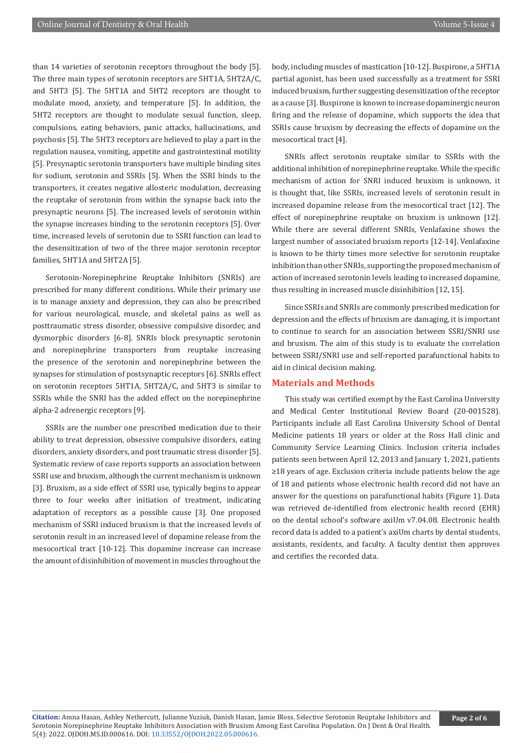than 14 varieties of serotonin receptors throughout the body [5]. The three main types of serotonin receptors are 5HT1A, 5HT2A/C, and 5HT3 [5]. The 5HT1A and 5HT2 receptors are thought to modulate mood, anxiety, and temperature [5]. In addition, the 5HT2 receptors are thought to modulate sexual function, sleep, compulsions, eating behaviors, panic attacks, hallucinations, and psychosis [5]. The 5HT3 receptors are believed to play a part in the regulation nausea, vomiting, appetite and gastrointestinal motility [5]. Presynaptic serotonin transporters have multiple binding sites for sodium, serotonin and SSRIs [5]. When the SSRI binds to the transporters, it creates negative allosteric modulation, decreasing the reuptake of serotonin from within the synapse back into the presynaptic neurons [5]. The increased levels of serotonin within the synapse increases binding to the serotonin receptors [5]. Over time, increased levels of serotonin due to SSRI function can lead to the desensitization of two of the three major serotonin receptor families, 5HT1A and 5HT2A [5].

Serotonin-Norepinephrine Reuptake Inhibitors (SNRIs) are prescribed for many different conditions. While their primary use is to manage anxiety and depression, they can also be prescribed for various neurological, muscle, and skeletal pains as well as posttraumatic stress disorder, obsessive compulsive disorder, and dysmorphic disorders [6-8]. SNRIs block presynaptic serotonin and norepinephrine transporters from reuptake increasing the presence of the serotonin and norepinephrine between the synapses for stimulation of postsynaptic receptors [6]. SNRIs effect on serotonin receptors 5HT1A, 5HT2A/C, and 5HT3 is similar to SSRIs while the SNRI has the added effect on the norepinephrine alpha-2 adrenergic receptors [9].

SSRIs are the number one prescribed medication due to their ability to treat depression, obsessive compulsive disorders, eating disorders, anxiety disorders, and post traumatic stress disorder [5]. Systematic review of case reports supports an association between SSRI use and bruxism, although the current mechanism is unknown [3]. Bruxism, as a side effect of SSRI use, typically begins to appear three to four weeks after initiation of treatment, indicating adaptation of receptors as a possible cause [3]. One proposed mechanism of SSRI induced bruxism is that the increased levels of serotonin result in an increased level of dopamine release from the mesocortical tract [10-12]. This dopamine increase can increase the amount of disinhibition of movement in muscles throughout the

body, including muscles of mastication [10-12]. Buspirone, a 5HT1A partial agonist, has been used successfully as a treatment for SSRI induced bruxism, further suggesting desensitization of the receptor as a cause [3]. Buspirone is known to increase dopaminergic neuron firing and the release of dopamine, which supports the idea that SSRIs cause bruxism by decreasing the effects of dopamine on the mesocortical tract [4].

SNRIs affect serotonin reuptake similar to SSRIs with the additional inhibition of norepinephrine reuptake. While the specific mechanism of action for SNRI induced bruxism is unknown, it is thought that, like SSRIs, increased levels of serotonin result in increased dopamine release from the mesocortical tract [12]. The effect of norepinephrine reuptake on bruxism is unknown [12]. While there are several different SNRIs, Venlafaxine shows the largest number of associated bruxism reports [12-14]. Venlafaxine is known to be thirty times more selective for serotonin reuptake inhibition than other SNRIs, supporting the proposed mechanism of action of increased serotonin levels leading to increased dopamine, thus resulting in increased muscle disinhibition [12, 15].

Since SSRIs and SNRIs are commonly prescribed medication for depression and the effects of bruxism are damaging, it is important to continue to search for an association between SSRI/SNRI use and bruxism. The aim of this study is to evaluate the correlation between SSRI/SNRI use and self-reported parafunctional habits to aid in clinical decision making.

#### **Materials and Methods**

This study was certified exempt by the East Carolina University and Medical Center Institutional Review Board (20-001528). Participants include all East Carolina University School of Dental Medicine patients 18 years or older at the Ross Hall clinic and Community Service Learning Clinics. Inclusion criteria includes patients seen between April 12, 2013 and January 1, 2021, patients ≥18 years of age. Exclusion criteria include patients below the age of 18 and patients whose electronic health record did not have an answer for the questions on parafunctional habits (Figure 1). Data was retrieved de-identified from electronic health record (EHR) on the dental school's software axiUm v7.04.08. Electronic health record data is added to a patient's axiUm charts by dental students, assistants, residents, and faculty. A faculty dentist then approves and certifies the recorded data.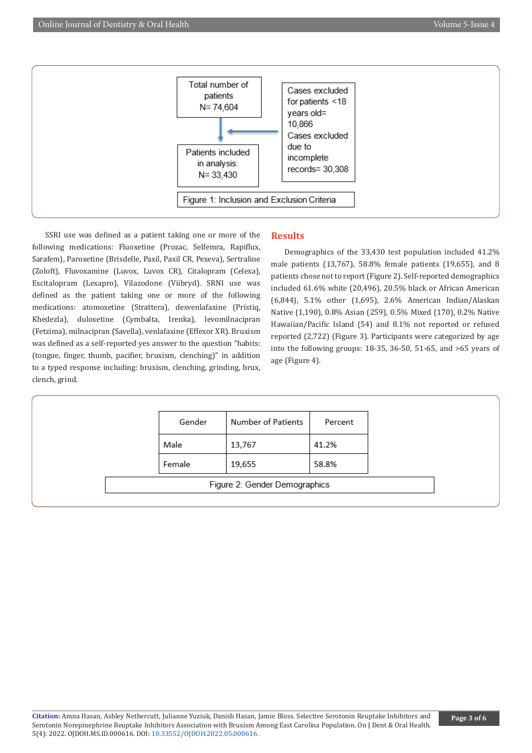

SSRI use was defined as a patient taking one or more of the following medications: Fluoxetine (Prozac, Selfemra, Rapiflux, Sarafem), Paroxetine (Brisdelle, Paxil, Paxil CR, Pexeva), Sertraline (Zoloft), Fluvoxamine (Luvox, Luvox CR), Citalopram (Celexa), Escitalopram (Lexapro), Vilazodone (Viibryd). SRNI use was defined as the patient taking one or more of the following medications: atomoxetine (Strattera), desvenlafaxine (Pristiq, Khedezla), duloxetine (Cymbalta, Irenka), levomilnacipran (Fetzima), milnacipran (Savella), venlafaxine (Effexor XR). Bruxism was defined as a self-reported yes answer to the question "habits: (tongue, finger, thumb, pacifier, bruxism, clenching)" in addition to a typed response including: bruxism, clenching, grinding, brux, clench, grind.

#### **Results**

Demographics of the 33,430 test population included 41.2% male patients (13,767), 58.8% female patients (19,655), and 8 patients chose not to report (Figure 2). Self-reported demographics included 61.6% white (20,496), 20.5% black or African American (6,844), 5.1% other (1,695), 2.6% American Indian/Alaskan Native (1,190), 0.8% Asian (259), 0.5% Mixed (170), 0.2% Native Hawaiian/Pacific Island (54) and 8.1% not reported or refused reported (2,722) (Figure 3). Participants were categorized by age into the following groups: 18-35, 36-50, 51-65, and >65 years of age (Figure 4).

| Number of Patients<br>Gender<br>Percent<br>Male<br>41.2%<br>13,767<br>58.8%<br>Female<br>19,655<br>Figure 2: Gender Demographics |  |  |
|----------------------------------------------------------------------------------------------------------------------------------|--|--|
|                                                                                                                                  |  |  |
|                                                                                                                                  |  |  |
|                                                                                                                                  |  |  |
|                                                                                                                                  |  |  |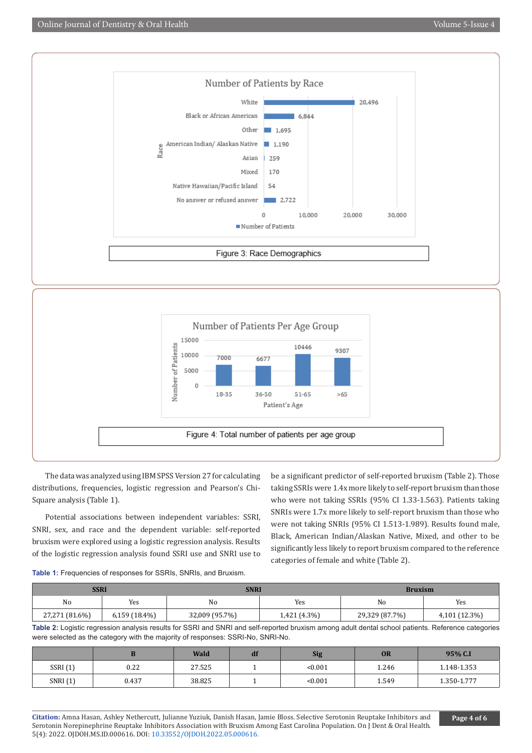### **Page 4 of 6**

Figure 4: Total number of patients per age group The data was analyzed using IBM SPSS Version 27 for calculating distributions, frequencies, logistic regression and Pearson's Chi-

18-35

5000  $\sqrt{a}$ 

Square analysis (Table 1). Potential associations between independent variables: SSRI, SNRI, sex, and race and the dependent variable: self-reported bruxism were explored using a logistic regression analysis. Results of the logistic regression analysis found SSRI use and SNRI use to

be a significant predictor of self-reported bruxism (Table 2). Those taking SSRIs were 1.4x more likely to self-report bruxism than those who were not taking SSRIs (95% CI 1.33-1.563). Patients taking SNRIs were 1.7x more likely to self-report bruxism than those who were not taking SNRIs (95% CI 1.513-1.989). Results found male, Black, American Indian/Alaskan Native, Mixed, and other to be significantly less likely to report bruxism compared to the reference categories of female and white (Table 2).



|                | SSRI<br>SNRI    |                |              | <b>Bruxism</b> |               |
|----------------|-----------------|----------------|--------------|----------------|---------------|
| No             | Yes             | No             | Yes          | No             | Yes           |
| 27,271 (81.6%) | $6,159(18.4\%)$ | 32,009 (95.7%) | 1,421 (4.3%) | 29,329 (87.7%) | 4,101 (12.3%) |

**Table 2:** Logistic regression analysis results for SSRI and SNRI and self-reported bruxism among adult dental school patients. Reference categories were selected as the category with the majority of responses: SSRI-No, SNRI-No.

|          |       | Wald   | uп | <b>Sig</b> | <b>OR</b> | 95% C.I     |
|----------|-------|--------|----|------------|-----------|-------------|
| SSRI(1)  | 0.22  | 27.525 |    | < 0.001    | 1.246     | 1.148-1.353 |
| SNRI (1) | 0.437 | 38.825 |    | < 0.001    | 1.549     | 1.350-1.777 |



 $36 - 50$ 

 $51 - 65$ 

Patient's Age

 $>65$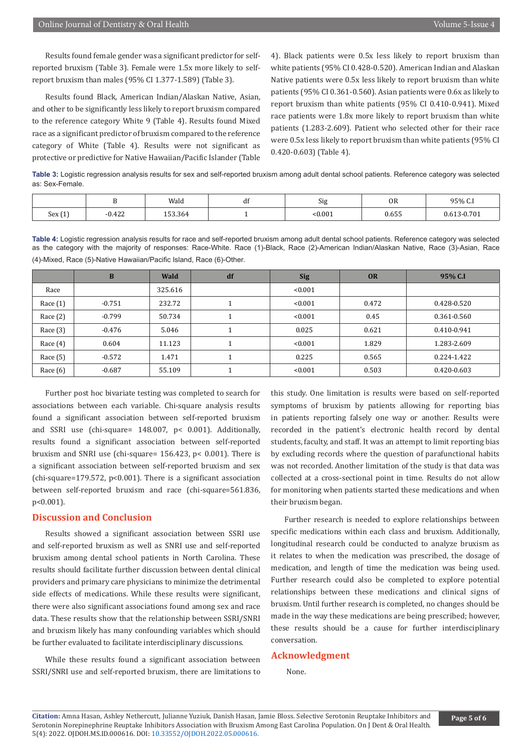Results found female gender was a significant predictor for selfreported bruxism (Table 3). Female were 1.5x more likely to selfreport bruxism than males (95% CI 1.377-1.589) (Table 3).

Results found Black, American Indian/Alaskan Native, Asian, and other to be significantly less likely to report bruxism compared to the reference category White 9 (Table 4). Results found Mixed race as a significant predictor of bruxism compared to the reference category of White (Table 4). Results were not significant as protective or predictive for Native Hawaiian/Pacific Islander (Table 4). Black patients were 0.5x less likely to report bruxism than white patients (95% CI 0.428-0.520). American Indian and Alaskan Native patients were 0.5x less likely to report bruxism than white patients (95% CI 0.361-0.560). Asian patients were 0.6x as likely to report bruxism than white patients (95% CI 0.410-0.941). Mixed race patients were 1.8x more likely to report bruxism than white patients (1.283-2.609). Patient who selected other for their race were 0.5x less likely to report bruxism than white patients (95% CI 0.420-0.603) (Table 4).

**Table 3:** Logistic regression analysis results for sex and self-reported bruxism among adult dental school patients. Reference category was selected as: Sex-Female.

|        |          | Wald    | $\overline{16}$<br>df | Sig     | OR    | 95% C.I     |
|--------|----------|---------|-----------------------|---------|-------|-------------|
| Sex(1) | $-0.422$ | 153.364 |                       | < 0.001 | 0.655 | 0.613-0.701 |

**Table 4:** Logistic regression analysis results for race and self-reported bruxism among adult dental school patients. Reference category was selected as the category with the majority of responses: Race-White. Race (1)-Black, Race (2)-American Indian/Alaskan Native, Race (3)-Asian, Race (4)-Mixed, Race (5)-Native Hawaiian/Pacific Island, Race (6)-Other.

|            | B        | Wald    | df | <b>Sig</b> | <b>OR</b> | 95% C.I     |
|------------|----------|---------|----|------------|-----------|-------------|
| Race       |          | 325.616 |    | < 0.001    |           |             |
| Race $(1)$ | $-0.751$ | 232.72  |    | < 0.001    | 0.472     | 0.428-0.520 |
| Race $(2)$ | $-0.799$ | 50.734  |    | < 0.001    | 0.45      | 0.361-0.560 |
| Race $(3)$ | $-0.476$ | 5.046   |    | 0.025      | 0.621     | 0.410-0.941 |
| Race $(4)$ | 0.604    | 11.123  |    | < 0.001    | 1.829     | 1.283-2.609 |
| Race $(5)$ | $-0.572$ | 1.471   |    | 0.225      | 0.565     | 0.224-1.422 |
| Race $(6)$ | $-0.687$ | 55.109  |    | < 0.001    | 0.503     | 0.420-0.603 |

Further post hoc bivariate testing was completed to search for associations between each variable. Chi-square analysis results found a significant association between self-reported bruxism and SSRI use (chi-square= 148.007, p< 0.001). Additionally, results found a significant association between self-reported bruxism and SNRI use (chi-square= 156.423, p< 0.001). There is a significant association between self-reported bruxism and sex (chi-square=179.572, p<0.001). There is a significant association between self-reported bruxism and race (chi-square=561.836, p<0.001).

#### **Discussion and Conclusion**

Results showed a significant association between SSRI use and self-reported bruxism as well as SNRI use and self-reported bruxism among dental school patients in North Carolina. These results should facilitate further discussion between dental clinical providers and primary care physicians to minimize the detrimental side effects of medications. While these results were significant, there were also significant associations found among sex and race data. These results show that the relationship between SSRI/SNRI and bruxism likely has many confounding variables which should be further evaluated to facilitate interdisciplinary discussions.

While these results found a significant association between SSRI/SNRI use and self-reported bruxism, there are limitations to this study. One limitation is results were based on self-reported symptoms of bruxism by patients allowing for reporting bias in patients reporting falsely one way or another. Results were recorded in the patient's electronic health record by dental students, faculty, and staff. It was an attempt to limit reporting bias by excluding records where the question of parafunctional habits was not recorded. Another limitation of the study is that data was collected at a cross-sectional point in time. Results do not allow for monitoring when patients started these medications and when their bruxism began.

Further research is needed to explore relationships between specific medications within each class and bruxism. Additionally, longitudinal research could be conducted to analyze bruxism as it relates to when the medication was prescribed, the dosage of medication, and length of time the medication was being used. Further research could also be completed to explore potential relationships between these medications and clinical signs of bruxism. Until further research is completed, no changes should be made in the way these medications are being prescribed; however, these results should be a cause for further interdisciplinary conversation.

#### **Acknowledgment**

None.